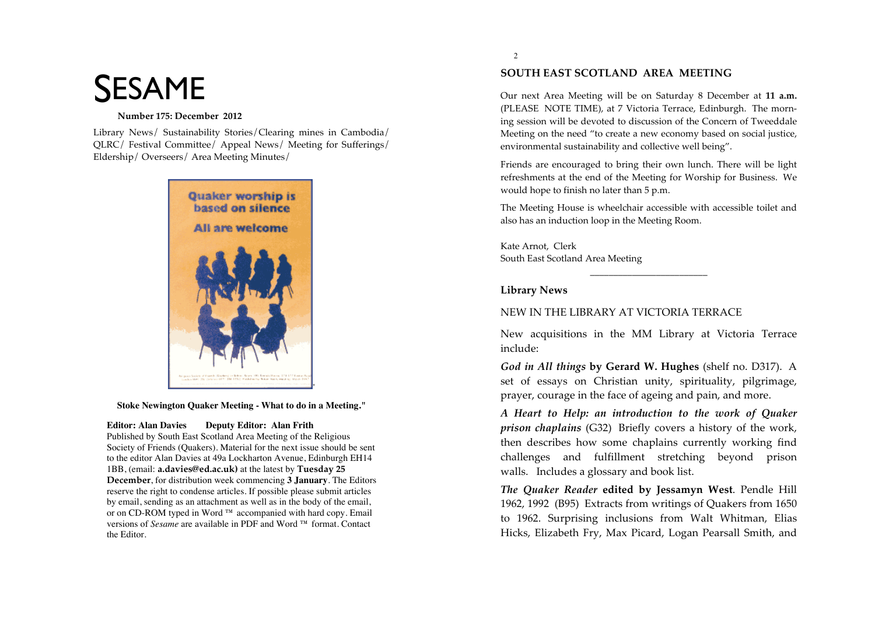# **SESAME**

## Number 175: December 2012

Library News/ Sustainability Stories/Clearing mines in Cambodia/ OLRC/ Festival Committee/ Appeal News/ Meeting for Sufferings/ Eldership/Overseers/Area Meeting Minutes/



Stoke Newington Quaker Meeting - What to do in a Meeting."

#### **Editor: Alan Davies Deputy Editor: Alan Frith**

Published by South East Scotland Area Meeting of the Religious Society of Friends (Quakers). Material for the next issue should be sent to the editor Alan Davies at 49a Lockharton Avenue, Edinburgh EH14 1BB, (email: a.davies@ed.ac.uk) at the latest by Tuesday 25 December, for distribution week commencing 3 January. The Editors reserve the right to condense articles. If possible please submit articles by email, sending as an attachment as well as in the body of the email, or on CD-ROM typed in Word ™ accompanied with hard copy. Email versions of *Sesame* are available in PDF and Word ™ format. Contact the Editor.

# SOUTH EAST SCOTLAND AREA MEETING

Our next Area Meeting will be on Saturday 8 December at 11 a.m. (PLEASE NOTE TIME), at 7 Victoria Terrace, Edinburgh. The morning session will be devoted to discussion of the Concern of Tweeddale Meeting on the need "to create a new economy based on social justice, environmental sustainability and collective well being".

Friends are encouraged to bring their own lunch. There will be light refreshments at the end of the Meeting for Worship for Business. We would hope to finish no later than 5 p.m.

The Meeting House is wheelchair accessible with accessible toilet and also has an induction loop in the Meeting Room.

Kate Arnot. Clerk South East Scotland Area Meeting

# **Library News**

# NEW IN THE LIBRARY AT VICTORIA TERRACE

New acquisitions in the MM Library at Victoria Terrace include:

God in All things by Gerard W. Hughes (shelf no. D317). A set of essays on Christian unity, spirituality, pilgrimage, prayer, courage in the face of ageing and pain, and more.

A Heart to Help: an introduction to the work of Quaker *prison chaplains* (G32) Briefly covers a history of the work, then describes how some chaplains currently working find challenges and fulfillment stretching beyond prison walls. Includes a glossary and book list.

The Quaker Reader edited by Jessamyn West. Pendle Hill 1962, 1992 (B95) Extracts from writings of Quakers from 1650 to 1962. Surprising inclusions from Walt Whitman, Elias Hicks, Elizabeth Fry, Max Picard, Logan Pearsall Smith, and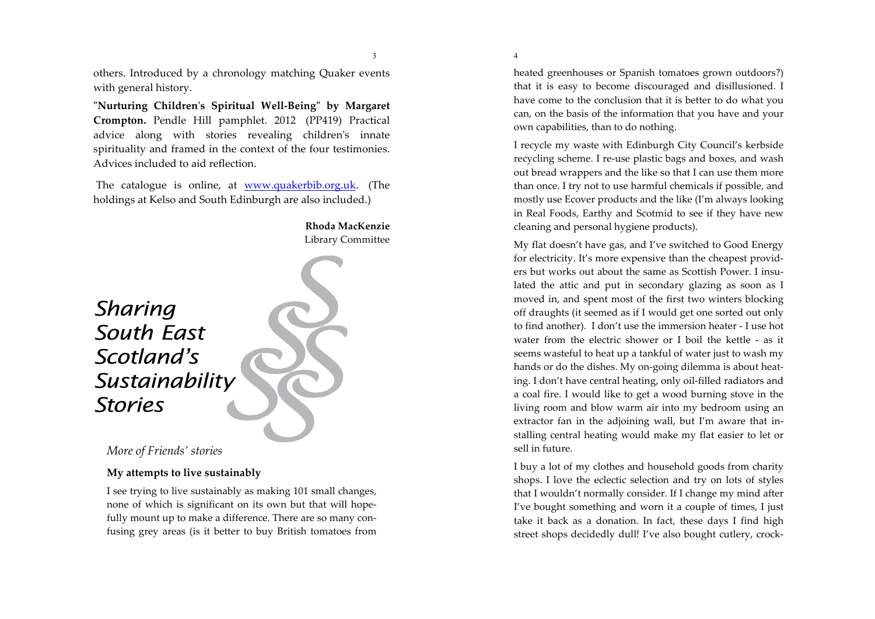others. Introduced by a chronology matching Quaker events with general history.

3

"Nurturing Children's Spiritual Well-Being" by Margaret Crompton. Pendle Hill pamphlet. 2012 (PP419) Practical advice along with stories revealing children's innate spirituality and framed in the context of the four testimonies. Advices included to aid reflection.

The catalogue is online, at www.quakerbib.org.uk. (The holdings at Kelso and South Edinburgh are also included.)



More of Friends' stories

## My attempts to live sustainably

I see trying to live sustainably as making 101 small changes, none of which is significant on its own but that will hopefully mount up to make a difference. There are so many confusing grey areas (is it better to buy British tomatoes from  $\overline{4}$ 

heated greenhouses or Spanish tomatoes grown outdoors?) that it is easy to become discouraged and disillusioned. I have come to the conclusion that it is better to do what you can, on the basis of the information that you have and your own capabilities, than to do nothing.

I recycle my waste with Edinburgh City Council's kerbside recycling scheme. I re-use plastic bags and boxes, and wash out bread wrappers and the like so that I can use them more than once. I try not to use harmful chemicals if possible, and mostly use Ecover products and the like (I'm always looking in Real Foods, Earthy and Scotmid to see if they have new cleaning and personal hygiene products).

My flat doesn't have gas, and I've switched to Good Energy for electricity. It's more expensive than the cheapest providers but works out about the same as Scottish Power. I insulated the attic and put in secondary glazing as soon as I moved in, and spent most of the first two winters blocking off draughts (it seemed as if I would get one sorted out only to find another). I don't use the immersion heater - I use hot water from the electric shower or I boil the kettle - as it seems wasteful to heat up a tankful of water just to wash my hands or do the dishes. My on-going dilemma is about heating. I don't have central heating, only oil-filled radiators and a coal fire. I would like to get a wood burning stove in the living room and blow warm air into my bedroom using an extractor fan in the adjoining wall, but I'm aware that installing central heating would make my flat easier to let or sell in future.

I buy a lot of my clothes and household goods from charity shops. I love the eclectic selection and try on lots of styles that I wouldn't normally consider. If I change my mind after I've bought something and worn it a couple of times, I just take it back as a donation. In fact, these days I find high street shops decidedly dull! I've also bought cutlery, crock-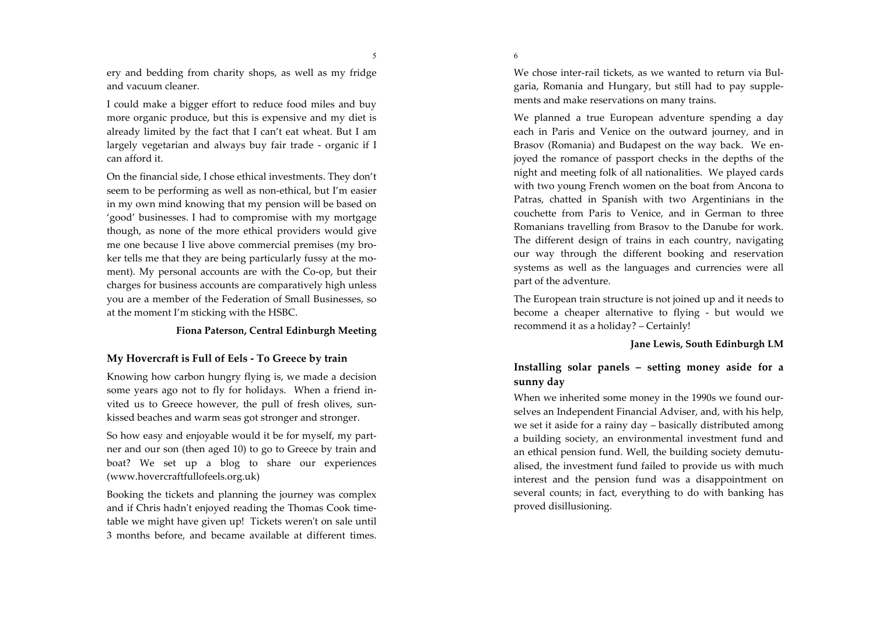5

ery and bedding from charity shops, as well as my fridge and vacuum cleaner.

I could make a bigger effort to reduce food miles and buy more organic produce, but this is expensive and my diet is already limited by the fact that I can't eat wheat. But I am largely vegetarian and always buy fair trade - organic if I can afford it.

On the financial side, I chose ethical investments. They don't seem to be performing as well as non-ethical, but I'm easier in my own mind knowing that my pension will be based on 'good' businesses. I had to compromise with my mortgage though, as none of the more ethical providers would give me one because I live above commercial premises (my broker tells me that they are being particularly fussy at the moment). My personal accounts are with the Co-op, but their charges for business accounts are comparatively high unless you are a member of the Federation of Small Businesses, so at the moment I'm sticking with the HSBC.

## Fiona Paterson, Central Edinburgh Meeting

# My Hovercraft is Full of Eels - To Greece by train

Knowing how carbon hungry flying is, we made a decision some years ago not to fly for holidays. When a friend invited us to Greece however, the pull of fresh olives, sunkissed beaches and warm seas got stronger and stronger.

So how easy and enjoyable would it be for myself, my partner and our son (then aged 10) to go to Greece by train and boat? We set up a blog to share our experiences (www.hovercraftfullofeels.org.uk)

Booking the tickets and planning the journey was complex and if Chris hadn't enjoyed reading the Thomas Cook timetable we might have given up! Tickets weren't on sale until 3 months before, and became available at different times.

We chose inter-rail tickets, as we wanted to return via Bulgaria, Romania and Hungary, but still had to pay supplements and make reservations on many trains.

We planned a true European adventure spending a day each in Paris and Venice on the outward journey, and in Brasov (Romania) and Budapest on the way back. We enjoyed the romance of passport checks in the depths of the night and meeting folk of all nationalities. We played cards with two young French women on the boat from Ancona to Patras, chatted in Spanish with two Argentinians in the couchette from Paris to Venice, and in German to three Romanians travelling from Brasov to the Danube for work. The different design of trains in each country, navigating our way through the different booking and reservation systems as well as the languages and currencies were all part of the adventure.

The European train structure is not joined up and it needs to become a cheaper alternative to flying - but would we recommend it as a holiday? – Certainly!

### Jane Lewis, South Edinburgh LM

# Installing solar panels – setting money aside for a sunny day

When we inherited some money in the 1990s we found ourselves an Independent Financial Adviser, and, with his help, we set it aside for a rainy day – basically distributed among a building society, an environmental investment fund and an ethical pension fund. Well, the building society demutualised, the investment fund failed to provide us with much interest and the pension fund was a disappointment on several counts; in fact, everything to do with banking has proved disillusioning.

6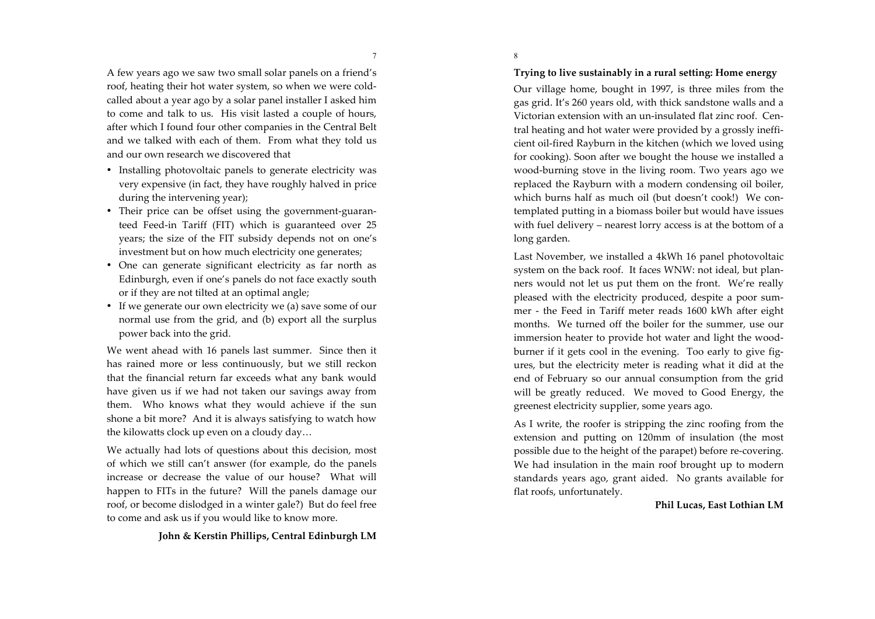$7\phantom{.0}$ 

A few years ago we saw two small solar panels on a friend's roof, heating their hot water system, so when we were coldcalled about a year ago by a solar panel installer I asked him to come and talk to us. His visit lasted a couple of hours, after which I found four other companies in the Central Belt and we talked with each of them. From what they told us and our own research we discovered that

- Installing photovoltaic panels to generate electricity was very expensive (in fact, they have roughly halved in price during the intervening year);
- Their price can be offset using the government-guaranteed Feed-in Tariff (FIT) which is guaranteed over 25 years; the size of the FIT subsidy depends not on one's investment but on how much electricity one generates;
- One can generate significant electricity as far north as Edinburgh, even if one's panels do not face exactly south or if they are not tilted at an optimal angle;
- If we generate our own electricity we (a) save some of our normal use from the grid, and (b) export all the surplus power back into the grid.

We went ahead with 16 panels last summer. Since then it has rained more or less continuously, but we still reckon that the financial return far exceeds what any bank would have given us if we had not taken our savings away from them. Who knows what they would achieve if the sun shone a bit more? And it is always satisfying to watch how the kilowatts clock up even on a cloudy day...

We actually had lots of questions about this decision, most of which we still can't answer (for example, do the panels increase or decrease the value of our house? What will happen to FITs in the future? Will the panels damage our roof, or become dislodged in a winter gale?) But do feel free to come and ask us if you would like to know more.

John & Kerstin Phillips, Central Edinburgh LM

Trying to live sustainably in a rural setting: Home energy

8

Our village home, bought in 1997, is three miles from the gas grid. It's 260 years old, with thick sandstone walls and a Victorian extension with an un-insulated flat zinc roof. Central heating and hot water were provided by a grossly inefficient oil-fired Rayburn in the kitchen (which we loved using for cooking). Soon after we bought the house we installed a wood-burning stove in the living room. Two years ago we replaced the Rayburn with a modern condensing oil boiler, which burns half as much oil (but doesn't cook!) We contemplated putting in a biomass boiler but would have issues with fuel delivery – nearest lorry access is at the bottom of a long garden.

Last November, we installed a 4kWh 16 panel photovoltaic system on the back roof. It faces WNW: not ideal, but planners would not let us put them on the front. We're really pleased with the electricity produced, despite a poor summer - the Feed in Tariff meter reads 1600 kWh after eight months. We turned off the boiler for the summer, use our immersion heater to provide hot water and light the woodburner if it gets cool in the evening. Too early to give figures, but the electricity meter is reading what it did at the end of February so our annual consumption from the grid will be greatly reduced. We moved to Good Energy, the greenest electricity supplier, some years ago.

As I write, the roofer is stripping the zinc roofing from the extension and putting on 120mm of insulation (the most possible due to the height of the parapet) before re-covering. We had insulation in the main roof brought up to modern standards years ago, grant aided. No grants available for flat roofs, unfortunately.

#### Phil Lucas, East Lothian LM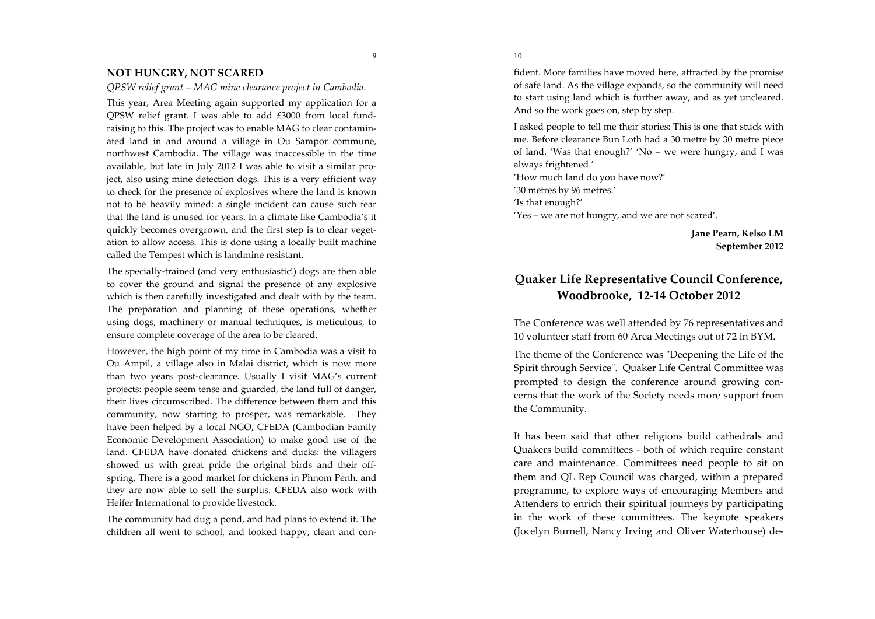#### **NOT HUNGRY, NOT SCARED**

OPSW relief grant – MAG mine clearance project in Cambodia.

9

This year, Area Meeting again supported my application for a QPSW relief grant. I was able to add £3000 from local fundraising to this. The project was to enable MAG to clear contaminated land in and around a village in Ou Sampor commune, northwest Cambodia. The village was inaccessible in the time available, but late in July 2012 I was able to visit a similar project, also using mine detection dogs. This is a very efficient way to check for the presence of explosives where the land is known not to be heavily mined: a single incident can cause such fear that the land is unused for years. In a climate like Cambodia's it quickly becomes overgrown, and the first step is to clear vegetation to allow access. This is done using a locally built machine called the Tempest which is landmine resistant.

The specially-trained (and very enthusiastic!) dogs are then able to cover the ground and signal the presence of any explosive which is then carefully investigated and dealt with by the team. The preparation and planning of these operations, whether using dogs, machinery or manual techniques, is meticulous, to ensure complete coverage of the area to be cleared.

However, the high point of my time in Cambodia was a visit to Ou Ampil, a village also in Malai district, which is now more than two years post-clearance. Usually I visit MAG's current projects: people seem tense and guarded, the land full of danger. their lives circumscribed. The difference between them and this community, now starting to prosper, was remarkable. They have been helped by a local NGO, CFEDA (Cambodian Family Economic Development Association) to make good use of the land. CFEDA have donated chickens and ducks: the villagers showed us with great pride the original birds and their offspring. There is a good market for chickens in Phnom Penh, and they are now able to sell the surplus. CFEDA also work with Heifer International to provide livestock.

The community had dug a pond, and had plans to extend it. The children all went to school, and looked happy, clean and con10

fident. More families have moved here, attracted by the promise of safe land. As the village expands, so the community will need to start using land which is further away, and as yet uncleared. And so the work goes on, step by step.

I asked people to tell me their stories: This is one that stuck with me. Before clearance Bun Loth had a 30 metre by 30 metre piece of land. 'Was that enough?' 'No - we were hungry, and I was always frightened.' 'How much land do you have now?'

'30 metres by 96 metres.'

'Is that enough?'

'Yes – we are not hungry, and we are not scared'.

Jane Pearn, Kelso LM September 2012

# Quaker Life Representative Council Conference, Woodbrooke, 12-14 October 2012

The Conference was well attended by 76 representatives and 10 volunteer staff from 60 Area Meetings out of 72 in BYM.

The theme of the Conference was "Deepening the Life of the Spirit through Service". Quaker Life Central Committee was prompted to design the conference around growing concerns that the work of the Society needs more support from the Community.

It has been said that other religions build cathedrals and Quakers build committees - both of which require constant care and maintenance. Committees need people to sit on them and QL Rep Council was charged, within a prepared programme, to explore ways of encouraging Members and Attenders to enrich their spiritual journeys by participating in the work of these committees. The keynote speakers (Jocelyn Burnell, Nancy Irving and Oliver Waterhouse) de-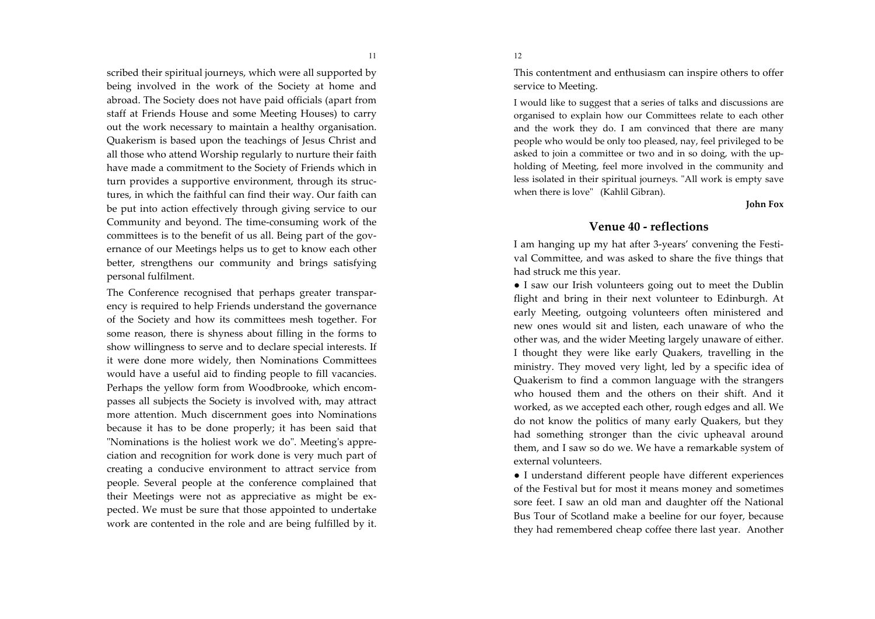scribed their spiritual journeys, which were all supported by being involved in the work of the Society at home and abroad. The Society does not have paid officials (apart from staff at Friends House and some Meeting Houses) to carry out the work necessary to maintain a healthy organisation. Quakerism is based upon the teachings of Jesus Christ and all those who attend Worship regularly to nurture their faith have made a commitment to the Society of Friends which in turn provides a supportive environment, through its structures, in which the faithful can find their way. Our faith can be put into action effectively through giving service to our Community and beyond. The time-consuming work of the committees is to the benefit of us all. Being part of the governance of our Meetings helps us to get to know each other better, strengthens our community and brings satisfying personal fulfilment.

The Conference recognised that perhaps greater transparency is required to help Friends understand the governance of the Society and how its committees mesh together. For some reason, there is shyness about filling in the forms to show willingness to serve and to declare special interests. If it were done more widely, then Nominations Committees would have a useful aid to finding people to fill vacancies. Perhaps the yellow form from Woodbrooke, which encompasses all subjects the Society is involved with, may attract more attention. Much discernment goes into Nominations because it has to be done properly; it has been said that "Nominations is the holiest work we do". Meeting's appreciation and recognition for work done is very much part of creating a conducive environment to attract service from people. Several people at the conference complained that their Meetings were not as appreciative as might be expected. We must be sure that those appointed to undertake work are contented in the role and are being fulfilled by it.

This contentment and enthusiasm can inspire others to offer service to Meeting.

12

I would like to suggest that a series of talks and discussions are organised to explain how our Committees relate to each other and the work they do. I am convinced that there are many people who would be only too pleased, nay, feel privileged to be asked to join a committee or two and in so doing, with the upholding of Meeting, feel more involved in the community and less isolated in their spiritual journeys. "All work is empty save when there is love" (Kahlil Gibran).

**John Fox** 

### Venue 40 - reflections

I am hanging up my hat after 3-years' convening the Festival Committee, and was asked to share the five things that had struck me this year.

• I saw our Irish volunteers going out to meet the Dublin flight and bring in their next volunteer to Edinburgh. At early Meeting, outgoing volunteers often ministered and new ones would sit and listen, each unaware of who the other was, and the wider Meeting largely unaware of either. I thought they were like early Quakers, travelling in the ministry. They moved very light, led by a specific idea of Quakerism to find a common language with the strangers who housed them and the others on their shift. And it worked, as we accepted each other, rough edges and all. We do not know the politics of many early Quakers, but they had something stronger than the civic upheaval around them, and I saw so do we. We have a remarkable system of external volunteers.

• I understand different people have different experiences of the Festival but for most it means money and sometimes sore feet. I saw an old man and daughter off the National Bus Tour of Scotland make a beeline for our foyer, because they had remembered cheap coffee there last year. Another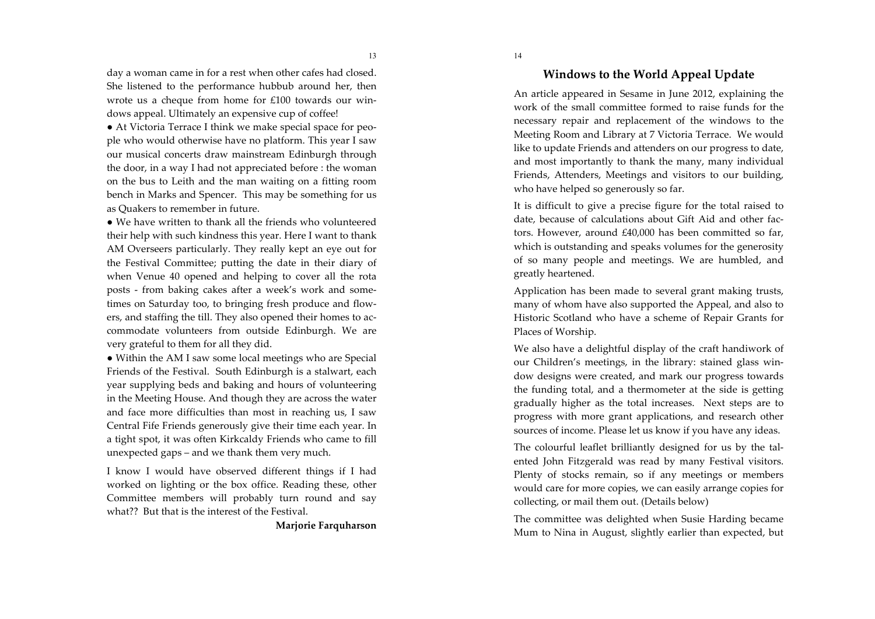day a woman came in for a rest when other cafes had closed. She listened to the performance hubbub around her, then wrote us a cheque from home for £100 towards our windows appeal. Ultimately an expensive cup of coffee!

• At Victoria Terrace I think we make special space for people who would otherwise have no platform. This year I saw our musical concerts draw mainstream Edinburgh through the door, in a way I had not appreciated before : the woman on the bus to Leith and the man waiting on a fitting room bench in Marks and Spencer. This may be something for us as Quakers to remember in future.

• We have written to thank all the friends who volunteered their help with such kindness this year. Here I want to thank AM Overseers particularly. They really kept an eye out for the Festival Committee; putting the date in their diary of when Venue 40 opened and helping to cover all the rota posts - from baking cakes after a week's work and sometimes on Saturday too, to bringing fresh produce and flowers, and staffing the till. They also opened their homes to accommodate volunteers from outside Edinburgh. We are very grateful to them for all they did.

• Within the AM I saw some local meetings who are Special Friends of the Festival. South Edinburgh is a stalwart, each year supplying beds and baking and hours of volunteering in the Meeting House. And though they are across the water and face more difficulties than most in reaching us, I saw Central Fife Friends generously give their time each year. In a tight spot, it was often Kirkcaldy Friends who came to fill unexpected gaps – and we thank them very much.

I know I would have observed different things if I had worked on lighting or the box office. Reading these, other Committee members will probably turn round and say what?? But that is the interest of the Festival.

Marjorie Farquharson

# Windows to the World Appeal Update

An article appeared in Sesame in June 2012, explaining the work of the small committee formed to raise funds for the necessary repair and replacement of the windows to the Meeting Room and Library at 7 Victoria Terrace. We would like to update Friends and attenders on our progress to date, and most importantly to thank the many, many individual Friends, Attenders, Meetings and visitors to our building, who have helped so generously so far.

It is difficult to give a precise figure for the total raised to date, because of calculations about Gift Aid and other factors. However, around £40,000 has been committed so far, which is outstanding and speaks volumes for the generosity of so many people and meetings. We are humbled, and greatly heartened.

Application has been made to several grant making trusts, many of whom have also supported the Appeal, and also to Historic Scotland who have a scheme of Repair Grants for Places of Worship.

We also have a delightful display of the craft handiwork of our Children's meetings, in the library: stained glass window designs were created, and mark our progress towards the funding total, and a thermometer at the side is getting gradually higher as the total increases. Next steps are to progress with more grant applications, and research other sources of income. Please let us know if you have any ideas.

The colourful leaflet brilliantly designed for us by the talented John Fitzgerald was read by many Festival visitors. Plenty of stocks remain, so if any meetings or members would care for more copies, we can easily arrange copies for collecting, or mail them out. (Details below)

The committee was delighted when Susie Harding became Mum to Nina in August, slightly earlier than expected, but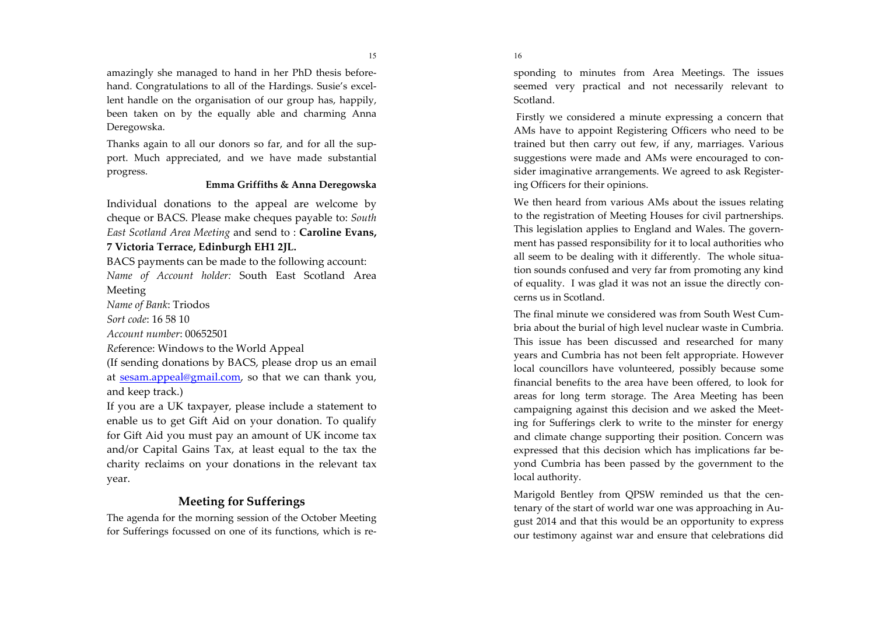amazingly she managed to hand in her PhD thesis beforehand. Congratulations to all of the Hardings. Susie's excellent handle on the organisation of our group has, happily, been taken on by the equally able and charming Anna Deregowska.

Thanks again to all our donors so far, and for all the support. Much appreciated, and we have made substantial progress.

### Emma Griffiths & Anna Deregowska

Individual donations to the appeal are welcome by cheque or BACS. Please make cheques payable to: South East Scotland Area Meeting and send to: Caroline Evans,

# 7 Victoria Terrace, Edinburgh EH1 2JL.

BACS payments can be made to the following account: Name of Account holder: South East Scotland Area Meeting

*Name of Bank: Triodos* 

Sort code: 16.58.10

Account number: 00652501

Reference: Windows to the World Appeal

(If sending donations by BACS, please drop us an email at sesam.appeal@gmail.com, so that we can thank you, and keep track.)

If you are a UK taxpayer, please include a statement to enable us to get Gift Aid on your donation. To qualify for Gift Aid you must pay an amount of UK income tax and/or Capital Gains Tax, at least equal to the tax the charity reclaims on your donations in the relevant tax year.

# **Meeting for Sufferings**

The agenda for the morning session of the October Meeting for Sufferings focussed on one of its functions, which is responding to minutes from Area Meetings. The issues seemed very practical and not necessarily relevant to Scotland.

16

Firstly we considered a minute expressing a concern that AMs have to appoint Registering Officers who need to be trained but then carry out few, if any, marriages. Various suggestions were made and AMs were encouraged to consider imaginative arrangements. We agreed to ask Registering Officers for their opinions.

We then heard from various AMs about the issues relating to the registration of Meeting Houses for civil partnerships. This legislation applies to England and Wales. The government has passed responsibility for it to local authorities who all seem to be dealing with it differently. The whole situation sounds confused and very far from promoting any kind of equality. I was glad it was not an issue the directly concerns us in Scotland.

The final minute we considered was from South West Cumbria about the burial of high level nuclear waste in Cumbria. This issue has been discussed and researched for many years and Cumbria has not been felt appropriate. However local councillors have volunteered, possibly because some financial benefits to the area have been offered, to look for areas for long term storage. The Area Meeting has been campaigning against this decision and we asked the Meeting for Sufferings clerk to write to the minster for energy and climate change supporting their position. Concern was expressed that this decision which has implications far beyond Cumbria has been passed by the government to the local authority.

Marigold Bentley from QPSW reminded us that the centenary of the start of world war one was approaching in August 2014 and that this would be an opportunity to express our testimony against war and ensure that celebrations did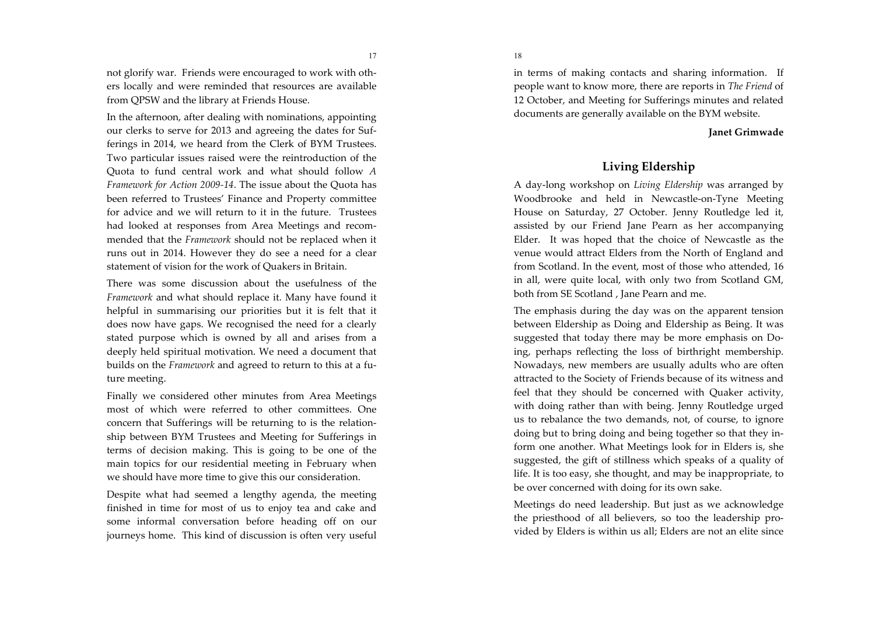not glorify war. Friends were encouraged to work with others locally and were reminded that resources are available from QPSW and the library at Friends House.

In the afternoon, after dealing with nominations, appointing our clerks to serve for 2013 and agreeing the dates for Sufferings in 2014, we heard from the Clerk of BYM Trustees. Two particular issues raised were the reintroduction of the Quota to fund central work and what should follow A Framework for Action 2009-14. The issue about the Quota has been referred to Trustees' Finance and Property committee for advice and we will return to it in the future. Trustees had looked at responses from Area Meetings and recommended that the *Framework* should not be replaced when it runs out in 2014. However they do see a need for a clear statement of vision for the work of Quakers in Britain.

There was some discussion about the usefulness of the Framework and what should replace it. Many have found it helpful in summarising our priorities but it is felt that it does now have gaps. We recognised the need for a clearly stated purpose which is owned by all and arises from a deeply held spiritual motivation. We need a document that builds on the *Framework* and agreed to return to this at a future meeting.

Finally we considered other minutes from Area Meetings most of which were referred to other committees. One concern that Sufferings will be returning to is the relationship between BYM Trustees and Meeting for Sufferings in terms of decision making. This is going to be one of the main topics for our residential meeting in February when we should have more time to give this our consideration.

Despite what had seemed a lengthy agenda, the meeting finished in time for most of us to enjoy tea and cake and some informal conversation before heading off on our journeys home. This kind of discussion is often very useful

18

in terms of making contacts and sharing information. If people want to know more, there are reports in The Friend of 12 October, and Meeting for Sufferings minutes and related documents are generally available on the BYM website.

#### **Janet Grimwade**

# Living Eldership

A day-long workshop on Living Eldership was arranged by Woodbrooke and held in Newcastle-on-Tyne Meeting House on Saturday, 27 October. Jenny Routledge led it, assisted by our Friend Jane Pearn as her accompanying Elder. It was hoped that the choice of Newcastle as the venue would attract Elders from the North of England and from Scotland. In the event, most of those who attended, 16 in all, were quite local, with only two from Scotland GM, both from SE Scotland, Jane Pearn and me.

The emphasis during the day was on the apparent tension between Eldership as Doing and Eldership as Being. It was suggested that today there may be more emphasis on Doing, perhaps reflecting the loss of birthright membership. Nowadays, new members are usually adults who are often attracted to the Society of Friends because of its witness and feel that they should be concerned with Quaker activity, with doing rather than with being. Jenny Routledge urged us to rebalance the two demands, not, of course, to ignore doing but to bring doing and being together so that they inform one another. What Meetings look for in Elders is, she suggested, the gift of stillness which speaks of a quality of life. It is too easy, she thought, and may be inappropriate, to be over concerned with doing for its own sake.

Meetings do need leadership. But just as we acknowledge the priesthood of all believers, so too the leadership provided by Elders is within us all; Elders are not an elite since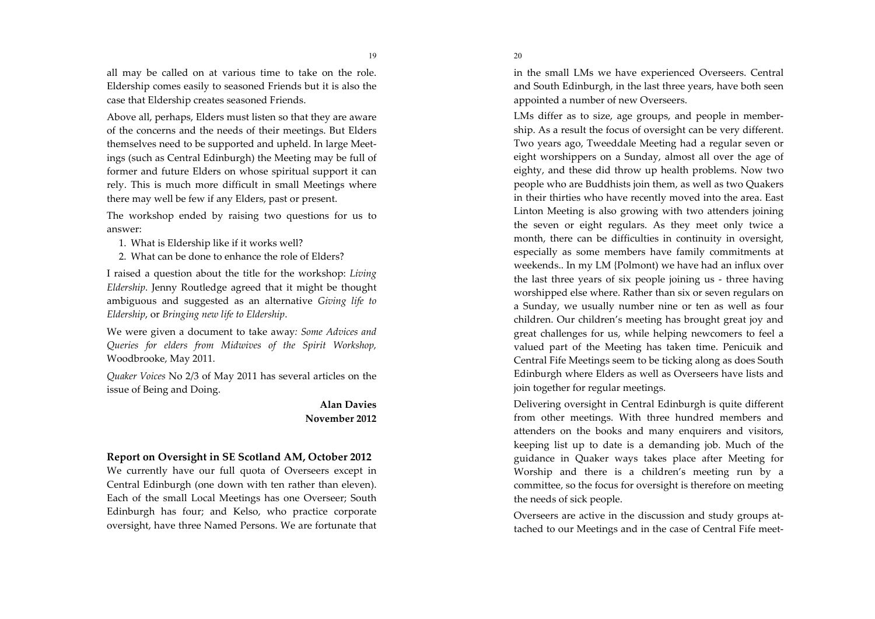19

all may be called on at various time to take on the role. Eldership comes easily to seasoned Friends but it is also the case that Eldership creates seasoned Friends.

Above all, perhaps, Elders must listen so that they are aware of the concerns and the needs of their meetings. But Elders themselves need to be supported and upheld. In large Meetings (such as Central Edinburgh) the Meeting may be full of former and future Elders on whose spiritual support it can rely. This is much more difficult in small Meetings where there may well be few if any Elders, past or present.

The workshop ended by raising two questions for us to answer:

- 1. What is Eldership like if it works well?
- 2. What can be done to enhance the role of Elders?

I raised a question about the title for the workshop: Living Eldership. Jenny Routledge agreed that it might be thought ambiguous and suggested as an alternative Giving life to Eldership, or Bringing new life to Eldership.

We were given a document to take away: Some Advices and Queries for elders from Midwives of the Spirit Workshop, Woodbrooke, May 2011.

Quaker Voices No 2/3 of May 2011 has several articles on the issue of Being and Doing.

# **Alan Davies** November 2012

## Report on Oversight in SE Scotland AM, October 2012

We currently have our full quota of Overseers except in Central Edinburgh (one down with ten rather than eleven). Each of the small Local Meetings has one Overseer; South Edinburgh has four; and Kelso, who practice corporate oversight, have three Named Persons. We are fortunate that in the small LMs we have experienced Overseers. Central and South Edinburgh, in the last three years, have both seen appointed a number of new Overseers.

LMs differ as to size, age groups, and people in membership. As a result the focus of oversight can be very different. Two years ago, Tweeddale Meeting had a regular seven or eight worshippers on a Sunday, almost all over the age of eighty, and these did throw up health problems. Now two people who are Buddhists join them, as well as two Quakers in their thirties who have recently moved into the area. East Linton Meeting is also growing with two attenders joining the seven or eight regulars. As they meet only twice a month, there can be difficulties in continuity in oversight, especially as some members have family commitments at weekends.. In my LM {Polmont} we have had an influx over the last three years of six people joining us - three having worshipped else where. Rather than six or seven regulars on a Sunday, we usually number nine or ten as well as four children. Our children's meeting has brought great joy and great challenges for us, while helping newcomers to feel a valued part of the Meeting has taken time. Penicuik and Central Fife Meetings seem to be ticking along as does South Edinburgh where Elders as well as Overseers have lists and join together for regular meetings.

Delivering oversight in Central Edinburgh is quite different from other meetings. With three hundred members and attenders on the books and many enquirers and visitors, keeping list up to date is a demanding job. Much of the guidance in Quaker ways takes place after Meeting for Worship and there is a children's meeting run by a committee, so the focus for oversight is therefore on meeting the needs of sick people.

Overseers are active in the discussion and study groups attached to our Meetings and in the case of Central Fife meet-

20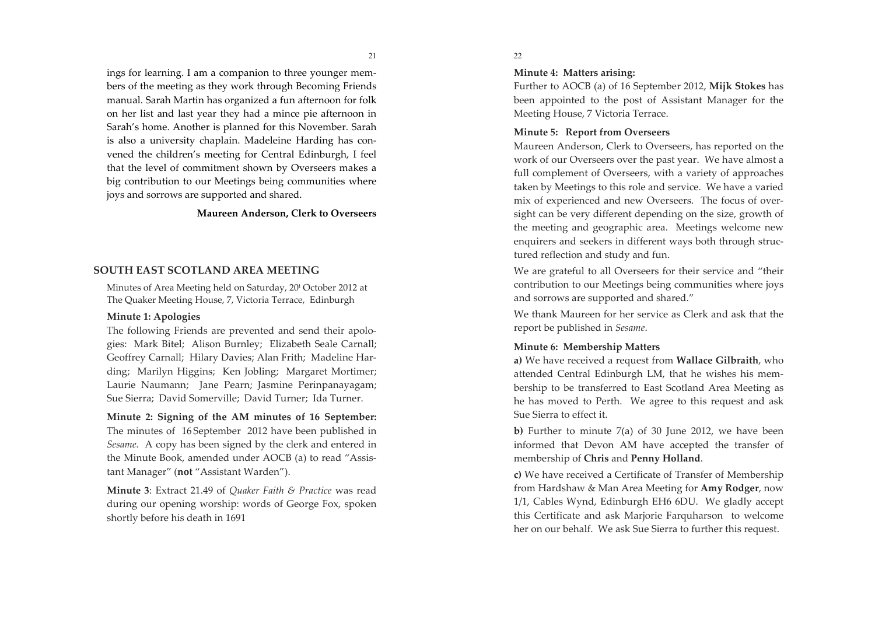ings for learning. I am a companion to three younger members of the meeting as they work through Becoming Friends manual. Sarah Martin has organized a fun afternoon for folk on her list and last year they had a mince pie afternoon in Sarah's home. Another is planned for this November. Sarah is also a university chaplain. Madeleine Harding has convened the children's meeting for Central Edinburgh, I feel that the level of commitment shown by Overseers makes a big contribution to our Meetings being communities where joys and sorrows are supported and shared.

#### Maureen Anderson, Clerk to Overseers

#### SOUTH EAST SCOTLAND AREA MEETING

Minutes of Area Meeting held on Saturday, 20<sup>t</sup> October 2012 at The Quaker Meeting House, 7, Victoria Terrace, Edinburgh

#### Minute 1: Apologies

The following Friends are prevented and send their apologies: Mark Bitel; Alison Burnley; Elizabeth Seale Carnall; Geoffrey Carnall; Hilary Davies; Alan Frith; Madeline Harding; Marilyn Higgins; Ken Jobling; Margaret Mortimer; Laurie Naumann; Jane Pearn; Jasmine Perinpanayagam; Sue Sierra: David Somerville: David Turner: Ida Turner.

Minute 2: Signing of the AM minutes of 16 September: The minutes of 16 September 2012 have been published in Sesame. A copy has been signed by the clerk and entered in the Minute Book, amended under AOCB (a) to read "Assistant Manager" (not "Assistant Warden").

Minute 3: Extract 21.49 of *Ouaker Faith & Practice* was read during our opening worship: words of George Fox, spoken shortly before his death in 1691

#### 22

#### Minute 4: Matters arising:

Further to AOCB (a) of 16 September 2012, Mijk Stokes has been appointed to the post of Assistant Manager for the Meeting House, 7 Victoria Terrace.

#### Minute 5: Report from Overseers

Maureen Anderson, Clerk to Overseers, has reported on the work of our Overseers over the past year. We have almost a full complement of Overseers, with a variety of approaches taken by Meetings to this role and service. We have a varied mix of experienced and new Overseers. The focus of oversight can be very different depending on the size, growth of the meeting and geographic area. Meetings welcome new enquirers and seekers in different ways both through structured reflection and study and fun.

We are grateful to all Overseers for their service and "their contribution to our Meetings being communities where joys and sorrows are supported and shared."

We thank Maureen for her service as Clerk and ask that the report be published in Sesame.

#### Minute 6: Membership Matters

a) We have received a request from Wallace Gilbraith, who attended Central Edinburgh LM, that he wishes his membership to be transferred to East Scotland Area Meeting as he has moved to Perth. We agree to this request and ask Sue Sierra to effect it.

b) Further to minute  $7(a)$  of 30 June 2012, we have been informed that Devon AM have accepted the transfer of membership of Chris and Penny Holland.

c) We have received a Certificate of Transfer of Membership from Hardshaw & Man Area Meeting for **Amy Rodger**, now 1/1, Cables Wynd, Edinburgh EH6 6DU. We gladly accept this Certificate and ask Marjorie Farquharson to welcome her on our behalf. We ask Sue Sierra to further this request.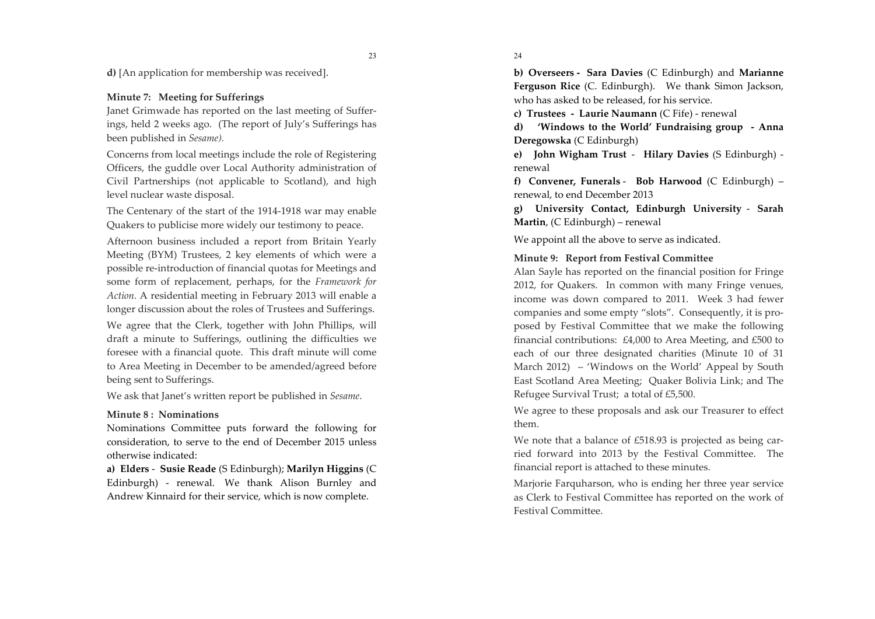**d**) [An application for membership was received].

## Minute 7: Meeting for Sufferings

Janet Grimwade has reported on the last meeting of Sufferings, held 2 weeks ago. (The report of July's Sufferings has been published in Sesame).

Concerns from local meetings include the role of Registering Officers, the guddle over Local Authority administration of Civil Partnerships (not applicable to Scotland), and high level nuclear waste disposal.

The Centenary of the start of the 1914-1918 war may enable Quakers to publicise more widely our testimony to peace.

Afternoon business included a report from Britain Yearly Meeting (BYM) Trustees, 2 key elements of which were a possible re-introduction of financial quotas for Meetings and some form of replacement, perhaps, for the Framework for Action. A residential meeting in February 2013 will enable a longer discussion about the roles of Trustees and Sufferings.

We agree that the Clerk, together with John Phillips, will draft a minute to Sufferings, outlining the difficulties we foresee with a financial quote. This draft minute will come to Area Meeting in December to be amended/agreed before being sent to Sufferings.

We ask that Janet's written report be published in Sesame.

### Minute 8: Nominations

Nominations Committee puts forward the following for consideration, to serve to the end of December 2015 unless otherwise indicated:

a) Elders - Susie Reade (S Edinburgh); Marilyn Higgins (C Edinburgh) - renewal. We thank Alison Burnley and Andrew Kinnaird for their service, which is now complete.

24

b) Overseers - Sara Davies (C Edinburgh) and Marianne Ferguson Rice (C. Edinburgh). We thank Simon Jackson, who has asked to be released, for his service.

c) Trustees - Laurie Naumann (C Fife) - renewal

d) 'Windows to the World' Fundraising group - Anna Deregowska (C Edinburgh)

e) John Wigham Trust - Hilary Davies (S Edinburgh) renewal

f) Convener, Funerals - Bob Harwood (C Edinburgh) – renewal, to end December 2013

g) University Contact, Edinburgh University - Sarah Martin, (C Edinburgh) – renewal

We appoint all the above to serve as indicated.

### Minute 9: Report from Festival Committee

Alan Sayle has reported on the financial position for Fringe 2012, for Quakers. In common with many Fringe venues, income was down compared to 2011. Week 3 had fewer companies and some empty "slots". Consequently, it is proposed by Festival Committee that we make the following financial contributions:  $£4,000$  to Area Meeting, and  $£500$  to each of our three designated charities (Minute 10 of 31 March 2012) – 'Windows on the World' Appeal by South East Scotland Area Meeting; Quaker Bolivia Link; and The Refugee Survival Trust; a total of £5,500.

We agree to these proposals and ask our Treasurer to effect them.

We note that a balance of £518.93 is projected as being carried forward into 2013 by the Festival Committee. The financial report is attached to these minutes.

Marjorie Farquharson, who is ending her three year service as Clerk to Festival Committee has reported on the work of Festival Committee.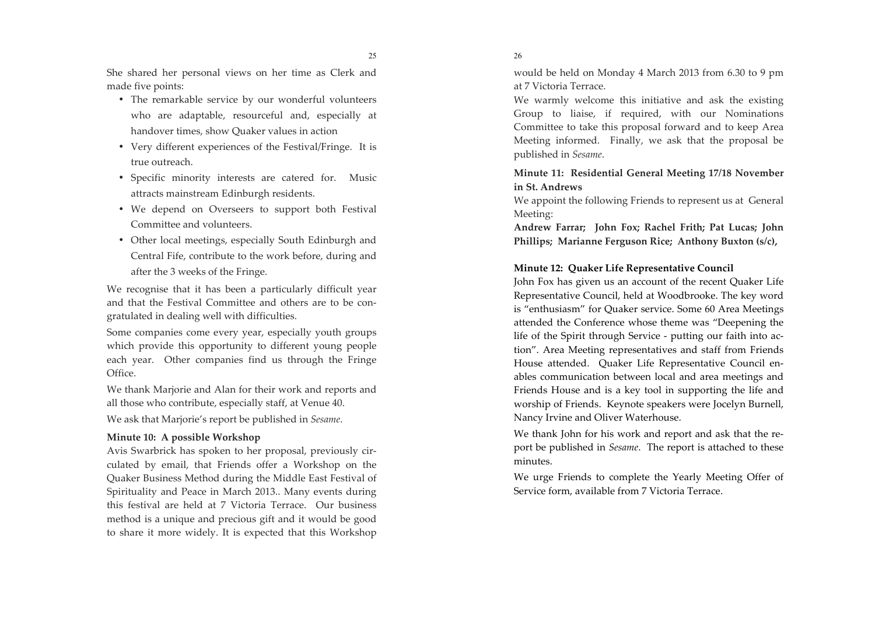25

She shared her personal views on her time as Clerk and made five points:

- The remarkable service by our wonderful volunteers who are adaptable, resourceful and, especially at handover times, show Quaker values in action
- Very different experiences of the Festival/Fringe. It is true outreach.
- Specific minority interests are catered for. Music attracts mainstream Edinburgh residents.
- We depend on Overseers to support both Festival Committee and volunteers.
- Other local meetings, especially South Edinburgh and Central Fife, contribute to the work before, during and after the 3 weeks of the Fringe.

We recognise that it has been a particularly difficult year and that the Festival Committee and others are to be congratulated in dealing well with difficulties.

Some companies come every year, especially youth groups which provide this opportunity to different young people each year. Other companies find us through the Fringe Office.

We thank Marjorie and Alan for their work and reports and all those who contribute, especially staff, at Venue 40. We ask that Marjorie's report be published in Sesame.

## Minute 10: A possible Workshop

Avis Swarbrick has spoken to her proposal, previously circulated by email, that Friends offer a Workshop on the Quaker Business Method during the Middle East Festival of Spirituality and Peace in March 2013.. Many events during this festival are held at 7 Victoria Terrace. Our business method is a unique and precious gift and it would be good to share it more widely. It is expected that this Workshop

26

would be held on Monday 4 March 2013 from 6.30 to 9 pm at 7 Victoria Terrace.

We warmly welcome this initiative and ask the existing Group to liaise, if required, with our Nominations Committee to take this proposal forward and to keep Area Meeting informed. Finally, we ask that the proposal be published in Sesame.

Minute 11: Residential General Meeting 17/18 November in St. Andrews

We appoint the following Friends to represent us at General Meeting:

Andrew Farrar; John Fox; Rachel Frith; Pat Lucas; John Phillips; Marianne Ferguson Rice; Anthony Buxton (s/c),

### Minute 12: Quaker Life Representative Council

John Fox has given us an account of the recent Ouaker Life Representative Council, held at Woodbrooke. The key word is "enthusiasm" for Quaker service. Some 60 Area Meetings attended the Conference whose theme was "Deepening the life of the Spirit through Service - putting our faith into action". Area Meeting representatives and staff from Friends House attended. Quaker Life Representative Council enables communication between local and area meetings and Friends House and is a key tool in supporting the life and worship of Friends. Keynote speakers were Jocelyn Burnell, Nancy Irvine and Oliver Waterhouse.

We thank John for his work and report and ask that the report be published in *Sesame*. The report is attached to these minutes.

We urge Friends to complete the Yearly Meeting Offer of Service form, available from 7 Victoria Terrace.